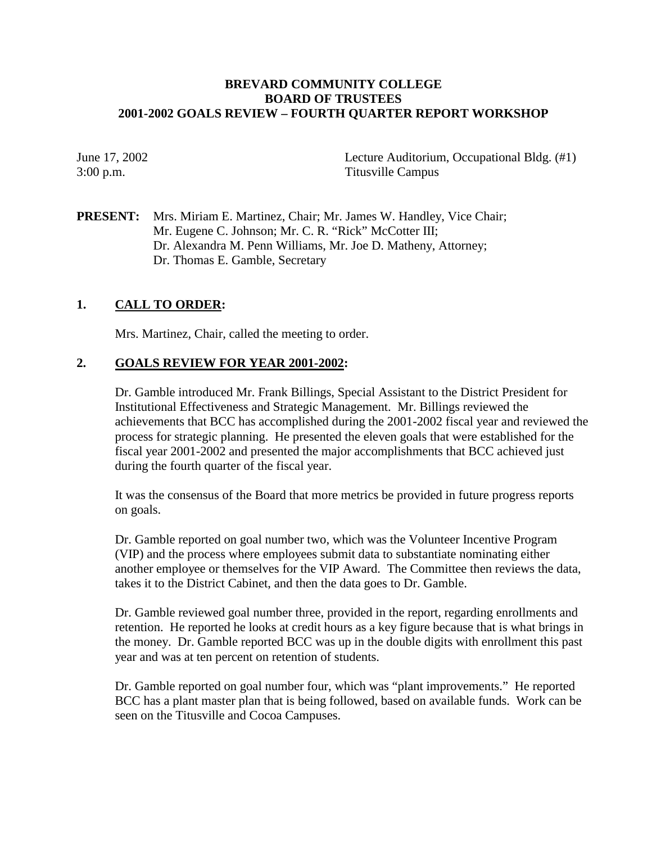## **BREVARD COMMUNITY COLLEGE BOARD OF TRUSTEES 2001-2002 GOALS REVIEW – FOURTH QUARTER REPORT WORKSHOP**

June 17, 2002 Lecture Auditorium, Occupational Bldg. (#1) 3:00 p.m. Titusville Campus

**PRESENT:** Mrs. Miriam E. Martinez, Chair; Mr. James W. Handley, Vice Chair; Mr. Eugene C. Johnson; Mr. C. R. "Rick" McCotter III; Dr. Alexandra M. Penn Williams, Mr. Joe D. Matheny, Attorney; Dr. Thomas E. Gamble, Secretary

## **1. CALL TO ORDER:**

Mrs. Martinez, Chair, called the meeting to order.

## **2. GOALS REVIEW FOR YEAR 2001-2002:**

Dr. Gamble introduced Mr. Frank Billings, Special Assistant to the District President for Institutional Effectiveness and Strategic Management. Mr. Billings reviewed the achievements that BCC has accomplished during the 2001-2002 fiscal year and reviewed the process for strategic planning. He presented the eleven goals that were established for the fiscal year 2001-2002 and presented the major accomplishments that BCC achieved just during the fourth quarter of the fiscal year.

It was the consensus of the Board that more metrics be provided in future progress reports on goals.

Dr. Gamble reported on goal number two, which was the Volunteer Incentive Program (VIP) and the process where employees submit data to substantiate nominating either another employee or themselves for the VIP Award. The Committee then reviews the data, takes it to the District Cabinet, and then the data goes to Dr. Gamble.

Dr. Gamble reviewed goal number three, provided in the report, regarding enrollments and retention. He reported he looks at credit hours as a key figure because that is what brings in the money. Dr. Gamble reported BCC was up in the double digits with enrollment this past year and was at ten percent on retention of students.

Dr. Gamble reported on goal number four, which was "plant improvements." He reported BCC has a plant master plan that is being followed, based on available funds. Work can be seen on the Titusville and Cocoa Campuses.